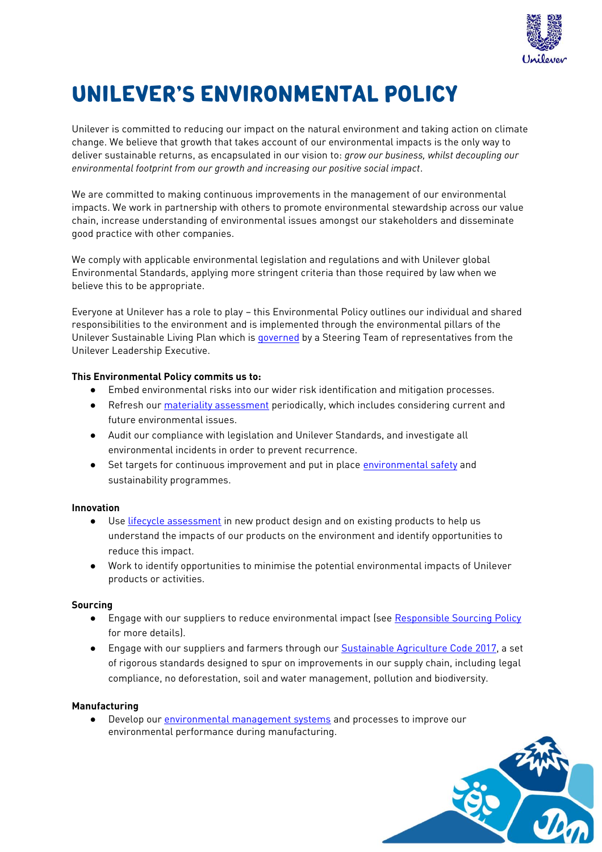

# **UNILEVER'S ENVIRONMENTAL POLICY**

Unilever is committed to reducing our impact on the natural environment and taking action on climate change. We believe that growth that takes account of our environmental impacts is the only way to deliver sustainable returns, as encapsulated in our vision to: *grow our business, whilst decoupling our environmental footprint from our growth and increasing our positive social impact*.

We are committed to making continuous improvements in the management of our environmental impacts. We work in partnership with others to promote environmental stewardship across our value chain, increase understanding of environmental issues amongst our stakeholders and disseminate good practice with other companies.

We comply with applicable environmental legislation and regulations and with Unilever global Environmental Standards, applying more stringent criteria than those required by law when we believe this to be appropriate.

Everyone at Unilever has a role to play – this Environmental Policy outlines our individual and shared responsibilities to the environment and is implemented through the environmental pillars of the Unilever Sustainable Living Plan which is **governed** by a Steering Team of representatives from the Unilever Leadership Executive.

# **This Environmental Policy commits us to:**

- Embed environmental risks into our wider risk identification and mitigation processes.
- Refresh our [materiality assessment](https://www.unilever.com/sustainable-living/our-approach-to-reporting/defining-our-material-issues/) periodically, which includes considering current and future environmental issues.
- Audit our compliance with legislation and Unilever Standards, and investigate all environmental incidents in order to prevent recurrence.
- Set targets for continuous improvement and put in place [environmental safety](https://www.unilever.com/about/innovation/safety-and-environment/) and sustainability programmes.

# **Innovation**

- Use [lifecycle assessment](https://www.unilever.com/sustainable-living/reducing-environmental-impact/lifecycle-assessments/) in new product design and on existing products to help us understand the impacts of our products on the environment and identify opportunities to reduce this impact.
- Work to identify opportunities to minimise the potential environmental impacts of Unilever products or activities.

#### **Sourcing**

- Engage with our suppliers to reduce environmental impact (see [Responsible Sourcing Policy](https://www.unilever.com/Images/responsible-sourcing-policy-interactive-final_tcm244-504736_en.pdf) for more details).
- Engage with our suppliers and farmers through our [Sustainable Agriculture Code](https://www.unilever.com/Images/sustainable-agriculture-code--sac---2017_tcm244-515371_1_en.pdf) 2017, a set of rigorous standards designed to spur on improvements in our supply chain, including legal compliance, no deforestation, soil and water management, pollution and biodiversity.

# **Manufacturing**

● Develop our [environmental management systems](https://www.unilever.com/sustainable-living/reducing-environmental-impact/eco-efficiency-in-manufacturing/environmental-management-system/) and processes to improve our environmental performance during manufacturing.